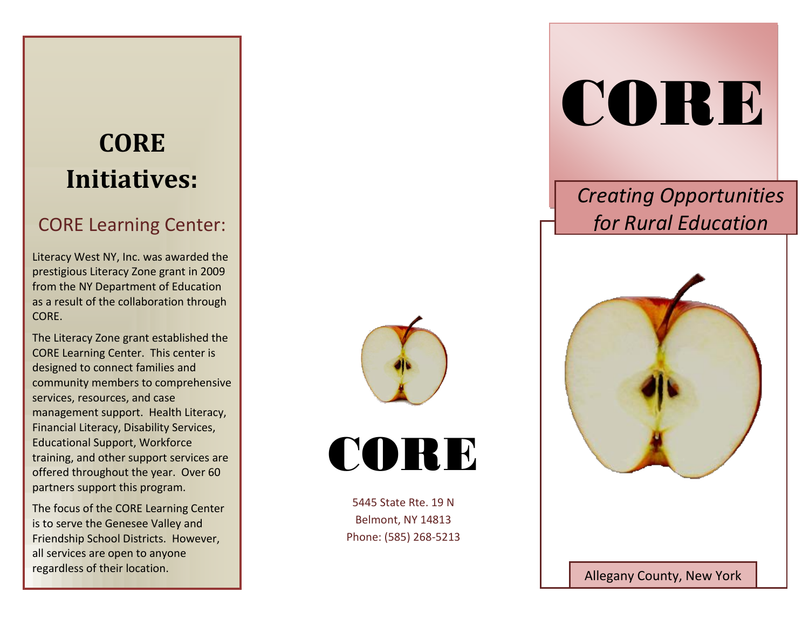# **CORE Initiatives:**

## CORE Learning Center:

Literacy West NY, Inc. was awarded the prestigious Literacy Zone grant in 2009 from the NY Department of Education as a result of the collaboration through CORE.

The Literacy Zone grant established the CORE Learning Center. This center is designed to connect families and community members to comprehensive services, resources, and case management support. Health Literacy, Financial Literacy, Disability Services, Educational Support, Workforce training, and other support services are offered throughout the year. Over 60 partners support this program.

The focus of the CORE Learning Center is to serve the Genesee Valley and Friendship School Districts. However, all services are open to anyone regardless of their location.





5445 State Rte. 19 N Belmont, NY 14813 Phone: (585) 268-5213

# CORE

# *Creating Opportunities for Rural Education*



Allegany County, New York